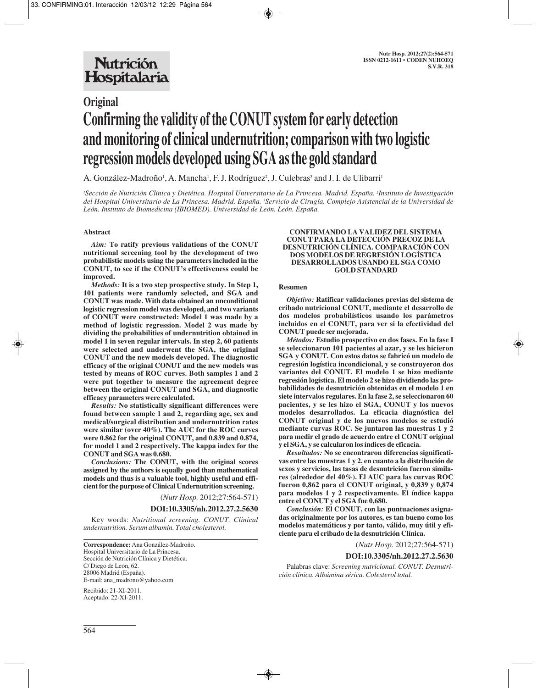# **Original Confirming the validity of the CONUT system for early detection and monitoring of clinical undernutrition; comparison with two logistic regression models developed using SGA as the gold standard**

A. González-Madroño<sup>1</sup>, A. Mancha<sup>1</sup>, F. J. Rodríguez<sup>2</sup>, J. Culebras<sup>3</sup> and J. I. de Ulibarri<sup>1</sup>

*1 Sección de Nutrición Clínica y Dietética. Hospital Universitario de La Princesa. Madrid. España. 2 Instituto de Investigación del Hospital Universitario de La Princesa. Madrid. España. 3 Servicio de Cirugía. Complejo Asistencial de la Universidad de León. Instituto de Biomedicina (IBIOMED). Universidad de León. León. España.*

## **Abstract**

*Aim:* **To ratify previous validations of the CONUT nutritional screening tool by the development of two probabilistic models using the parameters included in the CONUT, to see if the CONUT's effectiveness could be improved.** 

*Methods:* **It is a two step prospective study. In Step 1, 101 patients were randomly selected, and SGA and CONUT was made. With data obtained an unconditional logistic regression model was developed, and two variants of CONUT were constructed: Model 1 was made by a method of logistic regression. Model 2 was made by dividing the probabilities of undernutrition obtained in model 1 in seven regular intervals. In step 2, 60 patients were selected and underwent the SGA, the original CONUT and the new models developed. The diagnostic efficacy of the original CONUT and the new models was tested by means of ROC curves. Both samples 1 and 2 were put together to measure the agreement degree between the original CONUT and SGA, and diagnostic efficacy parameters were calculated.**

*Results:* **No statistically significant differences were found between sample 1 and 2, regarding age, sex and medical/surgical distribution and undernutrition rates were similar (over 40%). The AUC for the ROC curves were 0.862 for the original CONUT, and 0.839 and 0.874, for model 1 and 2 respectively. The kappa index for the CONUT and SGA was 0.680.** 

*Conclusions:* **The CONUT, with the original scores assigned by the authors is equally good than mathematical models and thus is a valuable tool, highly useful and efficient for the purpose of Clinical Undernutrition screening.**

(*Nutr Hosp.* 2012;27:564-571)

#### **DOI:10.3305/nh.2012.27.2.5630**

Key words: *Nutritional screening. CONUT. Clinical undernutrition. Serum albumin. Total cholesterol.*

**Correspondence:** Ana González-Madroño. Hospital Universitario de La Princesa. Sección de Nutrición Clínica y Dietética. C/ Diego de León, 62. 28006 Madrid (España). E-mail: ana\_madrono@yahoo.com

Recibido: 21-XI-2011. Aceptado: 22-XI-2011.

#### **CONFIRMANDO LA VALIDEZ DEL SISTEMA CONUT PARA LA DETECCIÓN PRECOZ DE LA DESNUTRICIÓN CLÍNICA. COMPARACIÓN CON DOS MODELOS DE REGRESIÓN LOGÍSTICA DESARROLLADOS USANDO EL SGA COMO GOLD STANDARD**

#### **Resumen**

*Objetivo:* **Ratificar validaciones previas del sistema de cribado nutricional CONUT, mediante el desarrollo de dos modelos probabilísticos usando los parámetros incluidos en el CONUT, para ver si la efectividad del CONUT puede ser mejorada.** 

*Métodos:* **Estudio prospectivo en dos fases. En la fase I se seleccionaron 101 pacientes al azar, y se les hicieron SGA y CONUT. Con estos datos se fabricó un modelo de regresión logística incondicional, y se construyeron dos variantes del CONUT. El modelo 1 se hizo mediante regresión logística. El modelo 2 se hizo dividiendo las probabilidades de desnutrición obtenidas en el modelo 1 en siete intervalos regulares. En la fase 2, se seleccionaron 60 pacientes, y se les hizo el SGA, CONUT y los nuevos modelos desarrollados. La eficacia diagnóstica del CONUT original y de los nuevos modelos se estudió mediante curvas ROC. Se juntaron las muestras 1 y 2 para medir el grado de acuerdo entre el CONUT original y el SGA, y se calcularon los índices de eficacia.** 

*Resultados:* **No se encontraron diferencias significativas entre las muestras 1 y 2, en cuanto a la distribución de sexos y servicios, las tasas de desnutrición fueron similares (alrededor del 40%). El AUC para las curvas ROC fueron 0,862 para el CONUT original, y 0,839 y 0,874 para modelos 1 y 2 respectivamente. El índice kappa entre el CONUT y el SGA fue 0,680.** 

*Conclusión:* **El CONUT, con las puntuaciones asignadas originalmente por los autores, es tan bueno como los modelos matemáticos y por tanto, válido, muy útil y eficiente para el cribado de la desnutrición Clínica.** 

(*Nutr Hosp.* 2012;27:564-571)

#### **DOI:10.3305/nh.2012.27.2.5630**

Palabras clave: *Screening nutricional. CONUT. Desnutrición clínica. Albúmina sérica. Colesterol total.*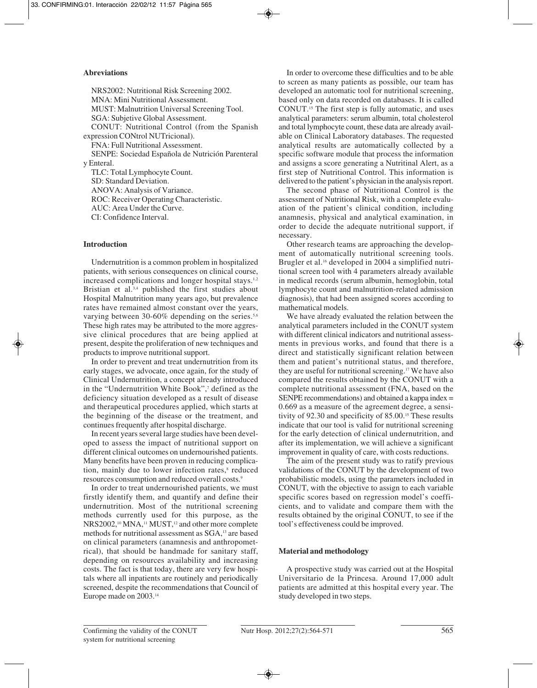## **Abreviations**

NRS2002: Nutritional Risk Screening 2002. MNA: Mini Nutritional Assessment. MUST: Malnutrition Universal Screening Tool. SGA: Subjetive Global Assessment. CONUT: Nutritional Control (from the Spanish expression CONtrol NUTricional). FNA: Full Nutritional Assessment. SENPE: Sociedad Española de Nutrición Parenteral y Enteral. TLC: Total Lymphocyte Count. SD: Standard Deviation. ANOVA: Analysis of Variance.

ROC: Receiver Operating Characteristic. AUC: Area Under the Curve.

CI: Confidence Interval.

# **Introduction**

Undernutrition is a common problem in hospitalized patients, with serious consequences on clinical course, increased complications and longer hospital stays.<sup>1,2</sup> Bristian et al.<sup>3,4</sup> published the first studies about Hospital Malnutrition many years ago, but prevalence rates have remained almost constant over the years, varying between 30-60% depending on the series.<sup>5,6</sup> These high rates may be attributed to the more aggressive clinical procedures that are being applied at present, despite the proliferation of new techniques and products to improve nutritional support.

In order to prevent and treat undernutrition from its early stages, we advocate, once again, for the study of Clinical Undernutrition, a concept already introduced in the "Undernutrition White Book",7 defined as the deficiency situation developed as a result of disease and therapeutical procedures applied, which starts at the beginning of the disease or the treatment, and continues frequently after hospital discharge.

In recent years several large studies have been developed to assess the impact of nutritional support on different clinical outcomes on undernourished patients. Many benefits have been proven in reducing complication, mainly due to lower infection rates,<sup>8</sup> reduced resources consumption and reduced overall costs.9

In order to treat undernourished patients, we must firstly identify them, and quantify and define their undernutrition. Most of the nutritional screening methods currently used for this purpose, as the NRS2002,<sup>10</sup> MNA,<sup>11</sup> MUST,<sup>12</sup> and other more complete methods for nutritional assessment as SGA,<sup>13</sup> are based on clinical parameters (anamnesis and anthropometrical), that should be handmade for sanitary staff, depending on resources availability and increasing costs. The fact is that today, there are very few hospitals where all inpatients are routinely and periodically screened, despite the recommendations that Council of Europe made on 2003.14

In order to overcome these difficulties and to be able to screen as many patients as possible, our team has developed an automatic tool for nutritional screening, based only on data recorded on databases. It is called CONUT.15 The first step is fully automatic, and uses analytical parameters: serum albumin, total cholesterol and total lymphocyte count, these data are already available on Clinical Laboratory databases. The requested analytical results are automatically collected by a specific software module that process the information and assigns a score generating a Nutritinal Alert, as a first step of Nutritional Control. This information is delivered to the patient's physician in the analysis report.

The second phase of Nutritional Control is the assessment of Nutritional Risk, with a complete evaluation of the patient's clinical condition, including anamnesis, physical and analytical examination, in order to decide the adequate nutritional support, if necessary.

Other research teams are approaching the development of automatically nutritional screening tools. Brugler et al.<sup>16</sup> developed in 2004 a simplified nutritional screen tool with 4 parameters already available in medical records (serum albumin, hemoglobin, total lymphocyte count and malnutrition-related admission diagnosis), that had been assigned scores according to mathematical models.

We have already evaluated the relation between the analytical parameters included in the CONUT system with different clinical indicators and nutritional assessments in previous works, and found that there is a direct and statistically significant relation between them and patient's nutritional status, and therefore, they are useful for nutritional screening.<sup>17</sup> We have also compared the results obtained by the CONUT with a complete nutritional assessment (FNA, based on the SENPE recommendations) and obtained a kappa index = 0.669 as a measure of the agreement degree, a sensitivity of 92.30 and specificity of 85.00.<sup>15</sup> These results indicate that our tool is valid for nutritional screening for the early detection of clinical undernutrition, and after its implementation, we will achieve a significant improvement in quality of care, with costs reductions.

The aim of the present study was to ratify previous validations of the CONUT by the development of two probabilistic models, using the parameters included in CONUT, with the objective to assign to each variable specific scores based on regression model's coefficients, and to validate and compare them with the results obtained by the original CONUT, to see if the tool's effectiveness could be improved.

# **Material and methodology**

A prospective study was carried out at the Hospital Universitario de la Princesa. Around 17,000 adult patients are admitted at this hospital every year. The study developed in two steps.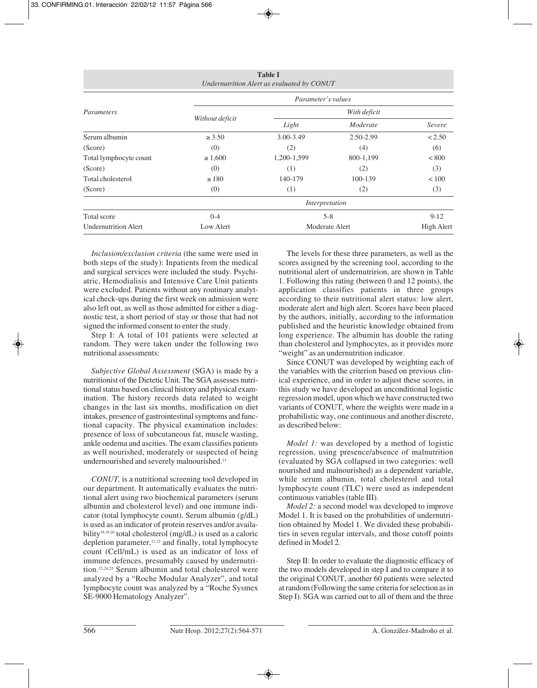| <b>Table I</b><br>Undernutrition Alert as evaluated by CONUT |                    |                |           |              |  |  |
|--------------------------------------------------------------|--------------------|----------------|-----------|--------------|--|--|
|                                                              | Parameter's values |                |           |              |  |  |
| Parameters                                                   | Without deficit    | With deficit   |           |              |  |  |
|                                                              |                    | Light          | Moderate  | Severe       |  |  |
| Serum albumin                                                | $\ge 3.50$         | 3.00-3.49      | 2.50-2.99 | < 2.50       |  |  |
| (Score)                                                      | (0)                | (2)            | (4)       | (6)          |  |  |
| Total lymphocyte count                                       | $\geq 1,600$       | 1,200-1,599    | 800-1,199 | < 800        |  |  |
| (Score)                                                      | (0)                | (1)            | (2)       | (3)          |  |  |
| Total cholesterol                                            | $\geq 180$         | 140-179        | 100-139   | ${}_{< 100}$ |  |  |
| (Score)                                                      | (0)                | (1)            | (2)       | (3)          |  |  |
|                                                              |                    | Interpretation |           |              |  |  |
| Total score                                                  | $0 - 4$            | $5 - 8$        |           | $9 - 12$     |  |  |
| <b>Undernutrition Alert</b>                                  | Low Alert          | Moderate Alert |           | High Alert   |  |  |

*Inclusion/exclusion criteria* (the same were used in both steps of the study): Inpatients from the medical and surgical services were included the study. Psychiatric, Hemodialisis and Intensive Care Unit patients were excluded. Patients without any routinary analytical check-ups during the first week on admission were also left out, as well as those admitted for either a diagnostic test, a short period of stay or those that had not signed the informed consent to enter the study.

Step I: A total of 101 patients were selected at random. They were taken under the following two nutritional assessments:

*Subjective Global Assessment* (SGA) is made by a nutritionist of the Dietetic Unit. The SGA assesses nutritional status based on clinical history and physical examination. The history records data related to weight changes in the last six months, modification on diet intakes, presence of gastrointestinal symptoms and functional capacity. The physical examination includes: presence of loss of subcutaneous fat, muscle wasting, ankle oedema and ascities. The exam classifies patients as well nourished, moderately or suspected of being undernourished and severely malnourished.<sup>13</sup>

*CONUT,* is a nutritional screening tool developed in our department. It automatically evaluates the nutritional alert using two biochemical parameters (serum albumin and cholesterol level) and one immune indicator (total lymphocyte count). Serum albumin (g/dL) is used as an indicator of protein reserves and/or availa bility<sup>18,19,20</sup> total cholesterol (mg/dL) is used as a caloric depletion parameter, $21,22$  and finally, total lymphocyte count (Cell/mL) is used as an indicator of loss of immune defences, presumably caused by undernutrition.23,24,25 Serum albumin and total cholesterol were analyzed by a "Roche Modular Analyzer", and total lymphocyte count was analyzed by a "Roche Sysmex SE-9000 Hematology Analyzer".

The levels for these three parameters, as well as the scores assigned by the screening tool, according to the nutritional alert of undernutririon, are shown in Table 1. Following this rating (between 0 and 12 points), the application classifies patients in three groups according to their nutritional alert status: low alert, moderate alert and high alert. Scores have been placed by the authors, initially, according to the information published and the heuristic knowledge obtained from long experience. The albumin has double the rating than cholesterol and lymphocytes, as it provides more "weight" as an undernutrition indicator.

Since CONUT was developed by weighting each of the variables with the criterion based on previous clinical experience, and in order to adjust these scores, in this study we have developed an unconditional logistic regression model, upon which we have constructed two variants of CONUT, where the weights were made in a probabilistic way, one continuous and another discrete, as described below:

*Model 1:* was developed by a method of logistic regression, using presence/absence of malnutrition (evaluated by SGA collapsed in two categories: well nourished and malnourished) as a dependent variable, while serum albumin, total cholesterol and total lymphocyte count (TLC) were used as independent continuous variables (table III).

*Model 2:* a second model was developed to improve Model 1. It is based on the probabilities of undernutrition obtained by Model 1. We divided these probabilities in seven regular intervals, and those cutoff points defined in Model 2.

Step II: In order to evaluate the diagnostic efficacy of the two models developed in step I and to compare it to the original CONUT, another 60 patients were selected at random (Following the same criteria for selection as in Step I). SGA was carried out to all of them and the three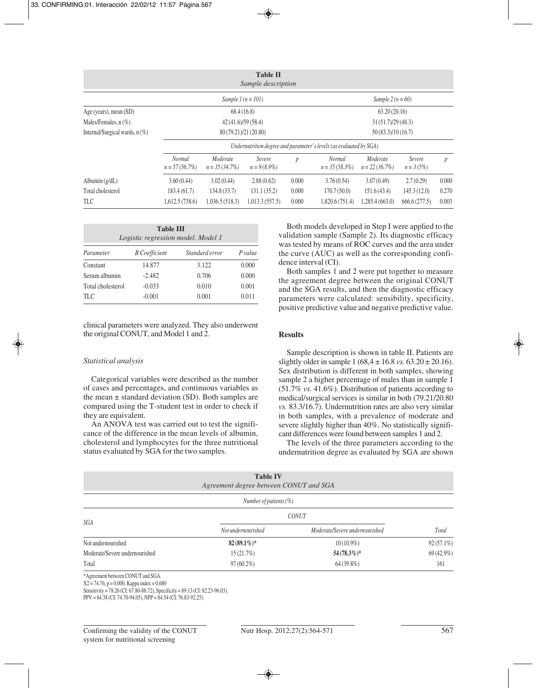| <b>Table II</b><br>Sample description |                                                                    |                              |                          |                   |                                   |                              |                        |                  |
|---------------------------------------|--------------------------------------------------------------------|------------------------------|--------------------------|-------------------|-----------------------------------|------------------------------|------------------------|------------------|
|                                       |                                                                    | Sample $l(n = 101)$          |                          |                   |                                   | Sample $2(n = 60)$           |                        |                  |
| Age (years), mean (SD)                | 68.4(16.8)                                                         |                              |                          | 63.20(20.16)      |                                   |                              |                        |                  |
| Males/Females, $n$ (%)                | 42(41.6)/59(58.4)                                                  |                              |                          | 31(51.7)/29(48.3) |                                   |                              |                        |                  |
| Internal/Surgical wards, $n(\%)$      |                                                                    | 80 (79.21)/21 (20.80)        |                          |                   | 50 (83.3)/10 (16.7)               |                              |                        |                  |
|                                       | Undernutrition degree and parameter's levels (as evaluated by SGA) |                              |                          |                   |                                   |                              |                        |                  |
|                                       | Normal<br>$n = 57(56.7\%)$                                         | Moderate<br>$n = 35(34.7\%)$ | Severe<br>$n = 9(8.9\%)$ | $\boldsymbol{p}$  | <b>Normal</b><br>$n = 35(58.3\%)$ | Moderate<br>$n = 22(36.7\%)$ | Severe<br>$n = 3(5\%)$ | $\boldsymbol{p}$ |
| Albumin $(g/dL)$                      | 3.60(0.44)                                                         | 3.02(0.44)                   | 2.88(0.62)               | 0.000             | 3.76(0.54)                        | 3.07(0.49)                   | 2.7(0.29)              | 0.000            |
| Total cholesterol                     | 183.4(61.7)                                                        | 134.8(33.7)                  | 131.1(35.2)              | 0.000             | 170.7(50.0)                       | 151.6(43.4)                  | 145.3(12.0)            | 0.270            |
| <b>TLC</b>                            | 1,612.5 (738.6)                                                    | 1,036.5(518.3)               | 1,013.3(557.5)           | 0.000             | 1,820.6 (751.4)                   | 1,285.4(663.0)               | 666.6(277.5)           | 0.003            |

| <b>Table III</b><br>Logistic regression model. Model 1 |                      |                |         |  |  |
|--------------------------------------------------------|----------------------|----------------|---------|--|--|
| Parameter                                              | <b>B</b> Coefficient | Standard error | P value |  |  |
| Constant                                               | 14.877               | 3.122          | 0.000   |  |  |
| Serum albumin                                          | $-2.482$             | 0.706          | 0.000   |  |  |
| Total cholesterol                                      | $-0.033$             | 0.010          | 0.001   |  |  |
| TLC.                                                   | $-0.001$             | 0.001          | 0.011   |  |  |

clinical parameters were analyzed. They also underwent the original CONUT, and Model 1 and 2.

#### *Statistical analysis*

Categorical variables were described as the number of cases and percentages, and continuous variables as the mean  $\pm$  standard deviation (SD). Both samples are compared using the T-student test in order to check if they are equivalent.

An ANOVA test was carried out to test the significance of the difference in the mean levels of albumin, cholesterol and lymphocytes for the three nutritional status evaluated by SGA for the two samples.

Both models developed in Step I were applied to the validation sample (Sample 2). Its diagnostic efficacy was tested by means of ROC curves and the area under the curve (AUC) as well as the corresponding confidence interval (CI).

Both samples 1 and 2 were put together to measure the agreement degree between the original CONUT and the SGA results, and then the diagnostic efficacy parameters were calculated: sensibility, specificity, positive predictive value and negative predictive value.

## **Results**

Sample description is shown in table II. Patients are slightly older in sample  $1 (68,4 \pm 16.8 \text{ vs. } 63.20 \pm 20.16)$ . Sex distribution is different in both samples, showing sample 2 a higher percentage of males than in sample 1 (51.7% *vs.* 41.6%). Distribution of patients according to medical/surgical services is similar in both (79.21/20.80 *vs.* 83.3/16.7). Undernutrition rates are also very similar in both samples, with a prevalence of moderate and severe slightly higher than 40%. No statistically significant differences were found between samples 1 and 2.

The levels of the three parameters according to the undernutrition degree as evaluated by SGA are shown

|                                   | <b>Table IV</b><br>Agreement degree between CONUT and SGA |                                |              |
|-----------------------------------|-----------------------------------------------------------|--------------------------------|--------------|
|                                   | Number of patients $(\%)$                                 |                                |              |
| SGA                               | <b>CONUT</b>                                              |                                |              |
|                                   | Not undernourished                                        | Moderate/Severe undernourished | Total        |
| Not undernourished                | $82(89.1\%)*$                                             | $10(10.9\%)$                   | $92(57.1\%)$ |
| Moderate/Severe undernourished    | 15(21.7%)                                                 | $54(78.3\%)*$                  | 69 (42.9%)   |
| Total                             | $97(60.2\%)$                                              | $64(39.8\%)$                   | 161          |
| *Agreement between CONUT and SGA. |                                                           |                                |              |

X2 = 74.76, p = 0.000, Kappa index = 0.680

Sensitivity = 78.26 (CI: 67.80-88.72), Specificity = 89.13 (CI: 82.23-96.03).

PPV = 84.38 (CI: 74.70-94.05), NPP = 84.54 (CI: 76.83-92.25).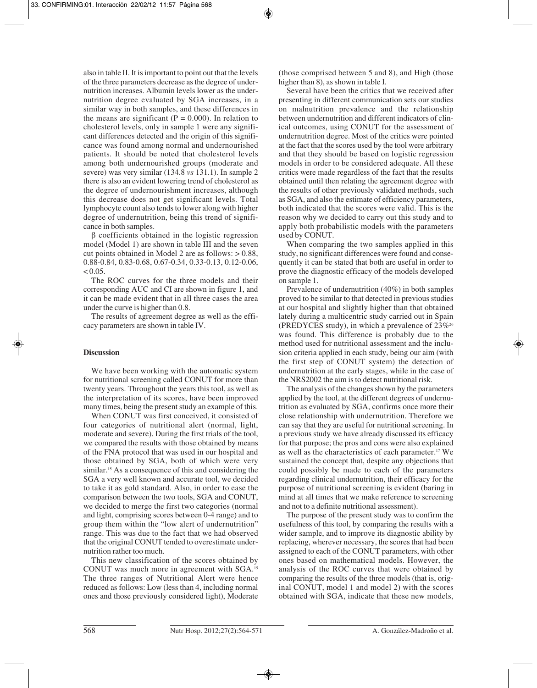also in table II. It is important to point out that the levels of the three parameters decrease as the degree of undernutrition increases. Albumin levels lower as the undernutrition degree evaluated by SGA increases, in a similar way in both samples, and these differences in the means are significant ( $P = 0.000$ ). In relation to cholesterol levels, only in sample 1 were any significant differences detected and the origin of this significance was found among normal and undernourished patients. It should be noted that cholesterol levels among both undernourished groups (moderate and severe) was very similar (134.8 *vs* 131.1). In sample 2 there is also an evident lowering trend of cholesterol as the degree of undernourishment increases, although this decrease does not get significant levels. Total lymphocyte count also tends to lower along with higher degree of undernutrition, being this trend of significance in both samples.

β coefficients obtained in the logistic regression model (Model 1) are shown in table III and the seven cut points obtained in Model 2 are as follows: > 0.88, 0.88-0.84, 0.83-0.68, 0.67-0.34, 0.33-0.13, 0.12-0.06,  $< 0.05$ .

The ROC curves for the three models and their corresponding AUC and CI are shown in figure 1, and it can be made evident that in all three cases the area under the curve is higher than 0.8.

The results of agreement degree as well as the efficacy parameters are shown in table IV.

# **Discussion**

We have been working with the automatic system for nutritional screening called CONUT for more than twenty years. Throughout the years this tool, as well as the interpretation of its scores, have been improved many times, being the present study an example of this.

When CONUT was first conceived, it consisted of four categories of nutritional alert (normal, light, moderate and severe). During the first trials of the tool, we compared the results with those obtained by means of the FNA protocol that was used in our hospital and those obtained by SGA, both of which were very similar.<sup>15</sup> As a consequence of this and considering the SGA a very well known and accurate tool, we decided to take it as gold standard. Also, in order to ease the comparison between the two tools, SGA and CONUT, we decided to merge the first two categories (normal and light, comprising scores between 0-4 range) and to group them within the "low alert of undernutrition" range. This was due to the fact that we had observed that the original CONUT tended to overestimate undernutrition rather too much.

This new classification of the scores obtained by CONUT was much more in agreement with SGA.15 The three ranges of Nutritional Alert were hence reduced as follows: Low (less than 4, including normal ones and those previously considered light), Moderate (those comprised between 5 and 8), and High (those higher than 8), as shown in table I.

Several have been the critics that we received after presenting in different communication sets our studies on malnutrition prevalence and the relationship between undernutrition and different indicators of clinical outcomes, using CONUT for the assessment of undernutrition degree. Most of the critics were pointed at the fact that the scores used by the tool were arbitrary and that they should be based on logistic regression models in order to be considered adequate. All these critics were made regardless of the fact that the results obtained until then relating the agreement degree with the results of other previously validated methods, such as SGA, and also the estimate of efficiency parameters, both indicated that the scores were valid. This is the reason why we decided to carry out this study and to apply both probabilistic models with the parameters used by CONUT.

When comparing the two samples applied in this study, no significant differences were found and consequently it can be stated that both are useful in order to prove the diagnostic efficacy of the models developed on sample 1.

Prevalence of undernutrition (40%) in both samples proved to be similar to that detected in previous studies at our hospital and slightly higher than that obtained lately during a multicentric study carried out in Spain (PREDYCES study), in which a prevalence of  $23\%$ <sup>26</sup> was found. This difference is probably due to the method used for nutritional assessment and the inclusion criteria applied in each study, being our aim (with the first step of CONUT system) the detection of undernutrition at the early stages, while in the case of the NRS2002 the aim is to detect nutritional risk.

The analysis of the changes shown by the parameters applied by the tool, at the different degrees of undernutrition as evaluated by SGA, confirms once more their close relationship with undernutrition. Therefore we can say that they are useful for nutritional screening. In a previous study we have already discussed its efficacy for that purpose; the pros and cons were also explained as well as the characteristics of each parameter.17 We sustained the concept that, despite any objections that could possibly be made to each of the parameters regarding clinical undernutrition, their efficacy for the purpose of nutritional screening is evident (baring in mind at all times that we make reference to screening and not to a definite nutritional assessment).

The purpose of the present study was to confirm the usefulness of this tool, by comparing the results with a wider sample, and to improve its diagnostic ability by replacing, wherever necessary, the scores that had been assigned to each of the CONUT parameters, with other ones based on mathematical models. However, the analysis of the ROC curves that were obtained by comparing the results of the three models (that is, original CONUT, model 1 and model 2) with the scores obtained with SGA, indicate that these new models,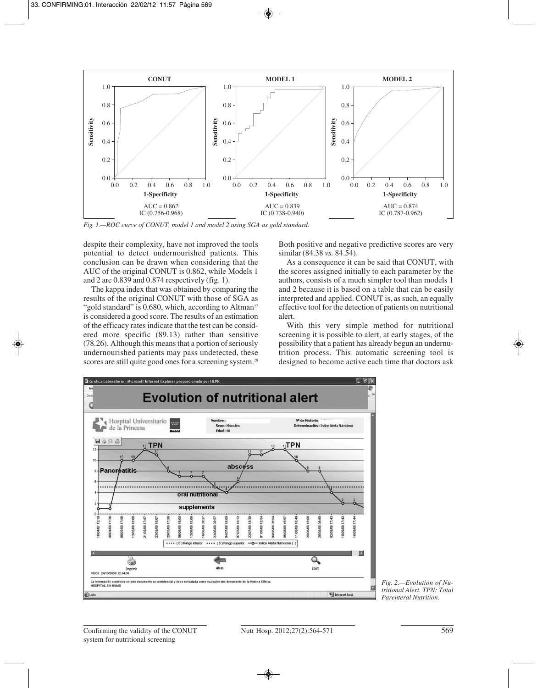

*Fig. 1.—ROC curve of CONUT, model 1 and model 2 using SGA as gold standard.*

despite their complexity, have not improved the tools potential to detect undernourished patients. This conclusion can be drawn when considering that the AUC of the original CONUT is 0.862, while Models 1 and 2 are 0.839 and 0.874 respectively (fig. 1).

The kappa index that was obtained by comparing the results of the original CONUT with those of SGA as "gold standard" is  $0.680$ , which, according to Altman<sup>27</sup> is considered a good score. The results of an estimation of the efficacy rates indicate that the test can be considered more specific (89.13) rather than sensitive (78.26). Although this means that a portion of seriously undernourished patients may pass undetected, these scores are still quite good ones for a screening system.<sup>28</sup> Both positive and negative predictive scores are very similar (84.38 *vs.* 84.54).

As a consequence it can be said that CONUT, with the scores assigned initially to each parameter by the authors, consists of a much simpler tool than models 1 and 2 because it is based on a table that can be easily interpreted and applied. CONUT is, as such, an equally effective tool for the detection of patients on nutritional alert.

With this very simple method for nutritional screening it is possible to alert, at early stages, of the possibility that a patient has already begun an undernutrition process. This automatic screening tool is designed to become active each time that doctors ask



*Fig. 2.—Evolution of Nutritional Alert. TPN: Total Parenteral Nutrition.*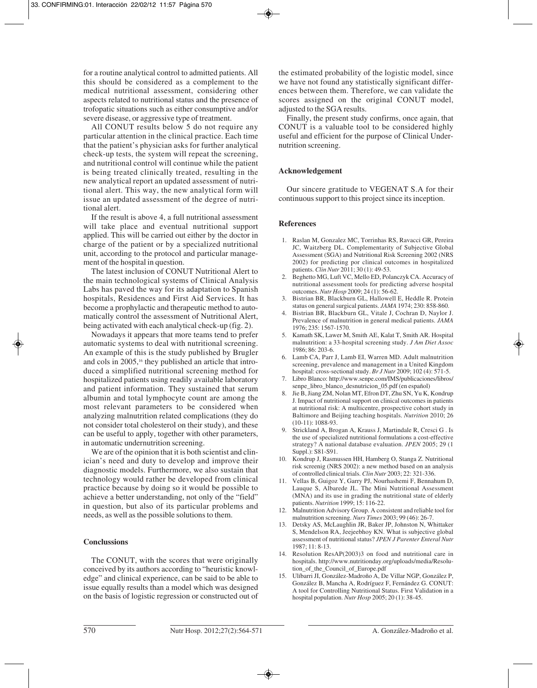for a routine analytical control to admitted patients. All this should be considered as a complement to the medical nutritional assessment, considering other aspects related to nutritional status and the presence of trofopatic situations such as either consumptive and/or severe disease, or aggressive type of treatment.

All CONUT results below 5 do not require any particular attention in the clinical practice. Each time that the patient's physician asks for further analytical check-up tests, the system will repeat the screening, and nutritional control will continue while the patient is being treated clinically treated, resulting in the new analytical report an updated assessment of nutritional alert. This way, the new analytical form will issue an updated assessment of the degree of nutritional alert.

If the result is above 4, a full nutritional assessment will take place and eventual nutritional support applied. This will be carried out either by the doctor in charge of the patient or by a specialized nutritional unit, according to the protocol and particular management of the hospital in question.

The latest inclusion of CONUT Nutritional Alert to the main technological systems of Clinical Analysis Labs has paved the way for its adaptation to Spanish hospitals, Residences and First Aid Services. It has become a prophylactic and therapeutic method to automatically control the assessment of Nutritional Alert, being activated with each analytical check-up (fig. 2).

Nowadays it appears that more teams tend to prefer automatic systems to deal with nutritional screening. An example of this is the study published by Brugler and cols in 2005,<sup>16</sup> they published an article that introduced a simplified nutritional screening method for hospitalized patients using readily available laboratory and patient information. They sustained that serum albumin and total lymphocyte count are among the most relevant parameters to be considered when analyzing malnutrition related complications (they do not consider total cholesterol on their study), and these can be useful to apply, together with other parameters, in automatic undernutrition screening.

We are of the opinion that it is both scientist and clinician's need and duty to develop and improve their diagnostic models. Furthermore, we also sustain that technology would rather be developed from clinical practice because by doing so it would be possible to achieve a better understanding, not only of the "field" in question, but also of its particular problems and needs, as well as the possible solutions to them.

## **Conclussions**

The CONUT, with the scores that were originally conceived by its authors according to "heuristic knowledge" and clinical experience, can be said to be able to issue equally results than a model which was designed on the basis of logistic regression or constructed out of the estimated probability of the logistic model, since we have not found any statistically significant differences between them. Therefore, we can validate the scores assigned on the original CONUT model, adjusted to the SGA results.

Finally, the present study confirms, once again, that CONUT is a valuable tool to be considered highly useful and efficient for the purpose of Clinical Undernutrition screening.

### **Acknowledgement**

Our sincere gratitude to VEGENAT S.A for their continuous support to this project since its inception.

## **References**

- 1. Raslan M, Gonzalez MC, Torrinhas RS, Ravacci GR, Pereira JC, Waitzberg DL. Complementarity of Subjective Global Assessment (SGA) and Nutritional Risk Screening 2002 (NRS 2002) for predicting por clinical outcomes in hospitalized patients. *Clin Nutr* 2011; 30 (1): 49-53.
- 2. Beghetto MG, Luft VC, Mello ED, Polanczyk CA. Accuracy of nutritional assessment tools for predicting adverse hospital outcomes. *Nutr Hosp* 2009; 24 (1): 56-62.
- 3. Bistrian BR, Blackburn GL, Hallowell E, Heddle R. Protein status on general surgical patients. *JAMA* 1974; 230: 858-860.
- 4. Bistrian BR, Blackburn GL, Vitale J, Cochran D, Naylor J. Prevalence of malnutrition in general medical patients. *JAMA* 1976; 235: 1567-1570.
- 5. Kamath SK, Lawer M, Smith AE, Kalat T, Smith AR. Hospital malnutrition: a 33-hospital screening study. *J Am Diet Assoc* 1986; 86: 203-6.
- 6. Lamb CA, Parr J, Lamb EI, Warren MD. Adult malnutrition screening, prevalence and management in a United Kingdom hospital: cross-sectional study. *Br J Nutr* 2009; 102 (4): 571-5.
- 7. Libro Blanco: http://www.senpe.com/IMS/publicaciones/libros/ senpe\_libro\_blanco\_desnutricion\_05.pdf (en español)
- 8. Jie B, Jiang ZM, Nolan MT, Efron DT, Zhu SN, Yu K, Kondrup J. Impact of nutritional support on clinical outcomes in patients at nutritional risk: A multicentre, prospective cohort study in Baltimore and Beijing teaching hospitals. *Nutrition* 2010; 26 (10-11): 1088-93.
- 9. Strickland A, Brogan A, Krauss J, Martindale R, Cresci G . Is the use of specialized nutritional formulations a cost-effective strategy? A national database evaluation. *JPEN* 2005; 29 (1 Suppl.): S81-S91.
- 10. Kondrup J, Rasmussen HH, Hamberg O, Stanga Z. Nutritional risk screenig (NRS 2002): a new method based on an analysis of controlled clinical trials. *Clin Nutr* 2003; 22: 321-336.
- 11. Vellas B, Guigoz Y, Garry PJ, Nourhashemi F, Bennahum D, Lauque S, Albarede JL. The Mini Nutritional Assessment (MNA) and its use in grading the nutritional state of elderly patients. *Nutrition* 1999; 15: 116-22.
- 12. Malnutrition Advisory Group. A consistent and reliable tool for malnutrition screening. *Nurs Times* 2003; 99 (46): 26-7.
- 13. Detsky AS, McLaughlin JR, Baker JP, Johnston N, Whittaker S, Mendelson RA, Jeejeebhoy KN. What is subjective global assessment of nutritional status? *JPEN J Parenter Enteral Nutr*  $1987 \cdot 11 \cdot 8 - 13$
- 14. Resolution ResAP(2003)3 on food and nutritional care in hospitals. http://www.nutritionday.org/uploads/media/Resolution\_of\_the\_Council\_of\_Europe.pdf
- 15. Ulíbarri JI, González-Madroño A, De Villar NGP, González P, González B, Mancha A, Rodríguez F, Fernández G. CONUT: A tool for Controlling Nutritional Status. First Validation in a hospital population. *Nutr Hosp* 2005; 20 (1): 38-45.